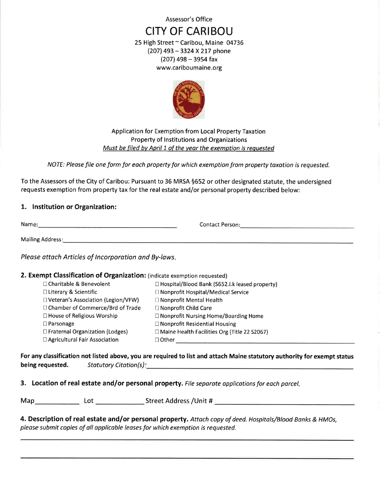Assessor's Office

# **CITY OF CARIBOU**

25 High Street ~ Caribou, Maine 04736 (207) 493 - 3324 X 217 phone  $(207)$  498 - 3954 fax www.cariboumaine.org



Application for Exemption from Local Property Taxation Property of Institutions and Organizations Must be filed by April 1 of the year the exemption is requested

NOTE: Please file one form for each property for which exemption from property taxation is requested.

To the Assessors of the City of Caribou: Pursuant to 36 MRSA §652 or other designated statute, the undersigned requests exemption from property tax for the real estate and/or personal property described below:

## 1. Institution or Organization:

| Name:                   | <b>Contact Person:</b> |  |
|-------------------------|------------------------|--|
| <b>Mailing Address:</b> |                        |  |

Please attach Articles of Incorporation and By-laws.

### 2. Exempt Classification of Organization: (indicate exemption requested)

| □ Charitable & Benevolent            | □ Hospital/Blood Bank (S652.1.k leased property) |
|--------------------------------------|--------------------------------------------------|
| $\Box$ Literary & Scientific         | □ Nonprofit Hospital/Medical Service             |
| □ Veteran's Association (Legion/VFW) | $\Box$ Nonprofit Mental Health                   |
| □ Chamber of Commerce/Brd of Trade   | □ Nonprofit Child Care                           |
| □ House of Religious Worship         | $\Box$ Nonprofit Nursing Home/Boarding Home      |
| $\square$ Parsonage                  | $\Box$ Nonprofit Residential Housing             |
| □ Fraternal Organization (Lodges)    | □ Maine Health Facilities Org (Title 22 S2067)   |
| □ Agricultural Fair Association      | $\Box$ Other                                     |
|                                      |                                                  |

For any classification not listed above, you are required to list and attach Maine statutory authority for exempt status being requested. Statutory Citation(s): Example 2014 19:30 19:30 19:30 19:30 19:30 19:30 19:30 19:30 19:30 19:30 19:30 19:30 19:30 19:30 19:30 19:30 19:30 19:30 19:30 19:30 19:30 19:30 19:30 19:30 19:30 19:30 19:30 19:30 19:30 19:30 19:30

3. Location of real estate and/or personal property. File separate applications for each parcel.

4. Description of real estate and/or personal property. Attach copy of deed. Hospitals/Blood Banks & HMOs, please submit copies of all applicable leases for which exemption is requested.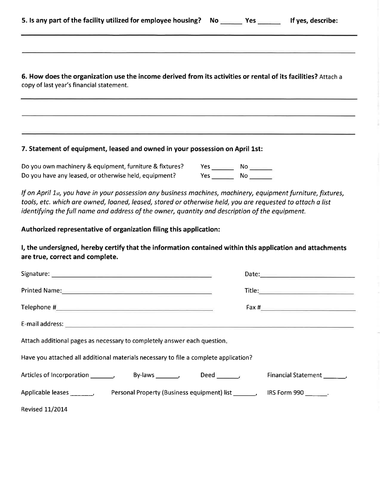|  | 5. Is any part of the facility utilized for employee housing? No- | Yes. | If yes, describe: |
|--|-------------------------------------------------------------------|------|-------------------|
|--|-------------------------------------------------------------------|------|-------------------|

6. How does the organization use the income derived from its activities or rental of its facilities? Attach a copy of last year's financial statement.

#### 7. Statement of equipment, leased and owned in your possession on April 1st:

Do you own machinery & equipment, furniture & fixtures?  $Yes$  No  $\_\_\_\_\$ Do you have any leased, or otherwise held, equipment?  $Yes$  No  $\_\_$ 

If on April 1st, you have in your possession any business machines, machinery, equipment furniture, fixtures, tools, etc. which are owned, loaned, leased, stored or otherwise held, you are requested to attach a list identifying the full name and address of the owner, quantity and description of the equipment.

#### Authorized representative of organization filing this application:

I, the undersigned, hereby certify that the information contained within this application and attachments are true, correct and complete.

| Printed Name: Name: New York: New York: New York: New York: New York: New York: New York: New York: New York: N |  |                       |  |  |  |  |
|-----------------------------------------------------------------------------------------------------------------|--|-----------------------|--|--|--|--|
| $\begin{tabular}{c} \textbf{Telephone}\texttt{\#}\end{tabular}$                                                 |  |                       |  |  |  |  |
|                                                                                                                 |  |                       |  |  |  |  |
| Attach additional pages as necessary to completely answer each question.                                        |  |                       |  |  |  |  |
| Have you attached all additional materials necessary to file a complete application?                            |  |                       |  |  |  |  |
| By-laws $\_\_\_\$<br>Deed $\blacksquare$                                                                        |  | Financial Statement , |  |  |  |  |
| Applicable leases ___ ____<br>Personal Property (Business equipment) list                                       |  | IRS Form 990 .        |  |  |  |  |
| <b>Revised 11/2014</b>                                                                                          |  |                       |  |  |  |  |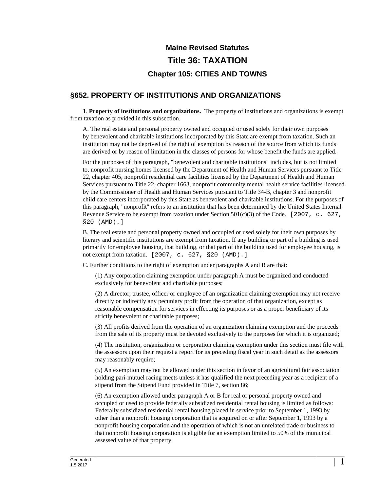# **Maine Revised Statutes Title 36: TAXATION Chapter 105: CITIES AND TOWNS**

# **§652. PROPERTY OF INSTITUTIONS AND ORGANIZATIONS**

**1**. **Property of institutions and organizations.** The property of institutions and organizations is exempt from taxation as provided in this subsection.

A. The real estate and personal property owned and occupied or used solely for their own purposes by benevolent and charitable institutions incorporated by this State are exempt from taxation. Such an institution may not be deprived of the right of exemption by reason of the source from which its funds are derived or by reason of limitation in the classes of persons for whose benefit the funds are applied.

For the purposes of this paragraph, "benevolent and charitable institutions" includes, but is not limited to, nonprofit nursing homes licensed by the Department of Health and Human Services pursuant to Title 22, chapter 405, nonprofit residential care facilities licensed by the Department of Health and Human Services pursuant to Title 22, chapter 1663, nonprofit community mental health service facilities licensed by the Commissioner of Health and Human Services pursuant to Title 34-B, chapter 3 and nonprofit child care centers incorporated by this State as benevolent and charitable institutions. For the purposes of this paragraph, "nonprofit" refers to an institution that has been determined by the United States Internal Revenue Service to be exempt from taxation under Section 501(c)(3) of the Code. [2007, c. 627, §20 (AMD).]

B. The real estate and personal property owned and occupied or used solely for their own purposes by literary and scientific institutions are exempt from taxation. If any building or part of a building is used primarily for employee housing, that building, or that part of the building used for employee housing, is not exempt from taxation. [2007, c. 627, §20 (AMD).]

C. Further conditions to the right of exemption under paragraphs A and B are that:

(1) Any corporation claiming exemption under paragraph A must be organized and conducted exclusively for benevolent and charitable purposes;

(2) A director, trustee, officer or employee of an organization claiming exemption may not receive directly or indirectly any pecuniary profit from the operation of that organization, except as reasonable compensation for services in effecting its purposes or as a proper beneficiary of its strictly benevolent or charitable purposes;

(3) All profits derived from the operation of an organization claiming exemption and the proceeds from the sale of its property must be devoted exclusively to the purposes for which it is organized;

(4) The institution, organization or corporation claiming exemption under this section must file with the assessors upon their request a report for its preceding fiscal year in such detail as the assessors may reasonably require;

(5) An exemption may not be allowed under this section in favor of an agricultural fair association holding pari-mutuel racing meets unless it has qualified the next preceding year as a recipient of a stipend from the Stipend Fund provided in Title 7, section 86;

(6) An exemption allowed under paragraph A or B for real or personal property owned and occupied or used to provide federally subsidized residential rental housing is limited as follows: Federally subsidized residential rental housing placed in service prior to September 1, 1993 by other than a nonprofit housing corporation that is acquired on or after September 1, 1993 by a nonprofit housing corporation and the operation of which is not an unrelated trade or business to that nonprofit housing corporation is eligible for an exemption limited to 50% of the municipal assessed value of that property.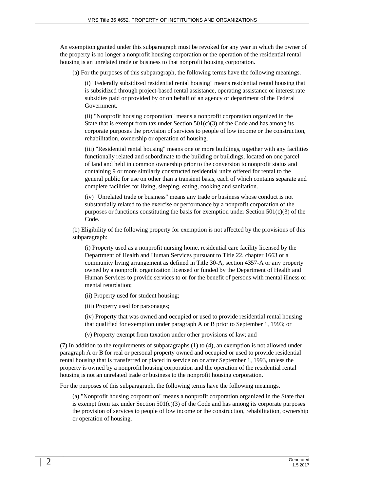An exemption granted under this subparagraph must be revoked for any year in which the owner of the property is no longer a nonprofit housing corporation or the operation of the residential rental housing is an unrelated trade or business to that nonprofit housing corporation.

(a) For the purposes of this subparagraph, the following terms have the following meanings.

(i) "Federally subsidized residential rental housing" means residential rental housing that is subsidized through project-based rental assistance, operating assistance or interest rate subsidies paid or provided by or on behalf of an agency or department of the Federal Government.

(ii) "Nonprofit housing corporation" means a nonprofit corporation organized in the State that is exempt from tax under Section  $501(c)(3)$  of the Code and has among its corporate purposes the provision of services to people of low income or the construction, rehabilitation, ownership or operation of housing.

(iii) "Residential rental housing" means one or more buildings, together with any facilities functionally related and subordinate to the building or buildings, located on one parcel of land and held in common ownership prior to the conversion to nonprofit status and containing 9 or more similarly constructed residential units offered for rental to the general public for use on other than a transient basis, each of which contains separate and complete facilities for living, sleeping, eating, cooking and sanitation.

(iv) "Unrelated trade or business" means any trade or business whose conduct is not substantially related to the exercise or performance by a nonprofit corporation of the purposes or functions constituting the basis for exemption under Section  $501(c)(3)$  of the Code.

(b) Eligibility of the following property for exemption is not affected by the provisions of this subparagraph:

(i) Property used as a nonprofit nursing home, residential care facility licensed by the Department of Health and Human Services pursuant to Title 22, chapter 1663 or a community living arrangement as defined in Title 30-A, section 4357-A or any property owned by a nonprofit organization licensed or funded by the Department of Health and Human Services to provide services to or for the benefit of persons with mental illness or mental retardation;

- (ii) Property used for student housing;
- (iii) Property used for parsonages;

(iv) Property that was owned and occupied or used to provide residential rental housing that qualified for exemption under paragraph A or B prior to September 1, 1993; or

(v) Property exempt from taxation under other provisions of law; and

(7) In addition to the requirements of subparagraphs (1) to (4), an exemption is not allowed under paragraph A or B for real or personal property owned and occupied or used to provide residential rental housing that is transferred or placed in service on or after September 1, 1993, unless the property is owned by a nonprofit housing corporation and the operation of the residential rental housing is not an unrelated trade or business to the nonprofit housing corporation.

For the purposes of this subparagraph, the following terms have the following meanings.

(a) "Nonprofit housing corporation" means a nonprofit corporation organized in the State that is exempt from tax under Section  $501(c)(3)$  of the Code and has among its corporate purposes the provision of services to people of low income or the construction, rehabilitation, ownership or operation of housing.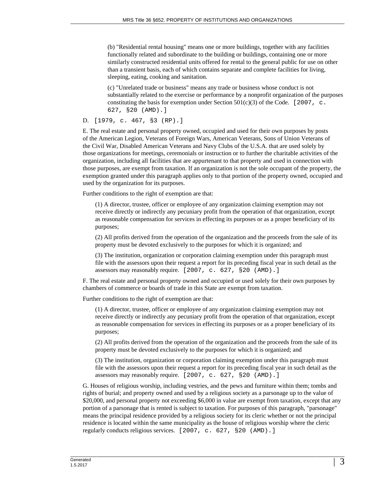(b) "Residential rental housing" means one or more buildings, together with any facilities functionally related and subordinate to the building or buildings, containing one or more similarly constructed residential units offered for rental to the general public for use on other than a transient basis, each of which contains separate and complete facilities for living, sleeping, eating, cooking and sanitation.

(c) "Unrelated trade or business" means any trade or business whose conduct is not substantially related to the exercise or performance by a nonprofit organization of the purposes constituting the basis for exemption under Section 501(c)(3) of the Code. [2007, c. 627, §20 (AMD).]

#### D. [1979, c. 467, §3 (RP).]

E. The real estate and personal property owned, occupied and used for their own purposes by posts of the American Legion, Veterans of Foreign Wars, American Veterans, Sons of Union Veterans of the Civil War, Disabled American Veterans and Navy Clubs of the U.S.A. that are used solely by those organizations for meetings, ceremonials or instruction or to further the charitable activities of the organization, including all facilities that are appurtenant to that property and used in connection with those purposes, are exempt from taxation. If an organization is not the sole occupant of the property, the exemption granted under this paragraph applies only to that portion of the property owned, occupied and used by the organization for its purposes.

Further conditions to the right of exemption are that:

(1) A director, trustee, officer or employee of any organization claiming exemption may not receive directly or indirectly any pecuniary profit from the operation of that organization, except as reasonable compensation for services in effecting its purposes or as a proper beneficiary of its purposes;

(2) All profits derived from the operation of the organization and the proceeds from the sale of its property must be devoted exclusively to the purposes for which it is organized; and

(3) The institution, organization or corporation claiming exemption under this paragraph must file with the assessors upon their request a report for its preceding fiscal year in such detail as the assessors may reasonably require. [2007, c. 627, §20 (AMD).]

F. The real estate and personal property owned and occupied or used solely for their own purposes by chambers of commerce or boards of trade in this State are exempt from taxation.

Further conditions to the right of exemption are that:

(1) A director, trustee, officer or employee of any organization claiming exemption may not receive directly or indirectly any pecuniary profit from the operation of that organization, except as reasonable compensation for services in effecting its purposes or as a proper beneficiary of its purposes;

(2) All profits derived from the operation of the organization and the proceeds from the sale of its property must be devoted exclusively to the purposes for which it is organized; and

(3) The institution, organization or corporation claiming exemption under this paragraph must file with the assessors upon their request a report for its preceding fiscal year in such detail as the assessors may reasonably require. [2007, c. 627, §20 (AMD).]

G. Houses of religious worship, including vestries, and the pews and furniture within them; tombs and rights of burial; and property owned and used by a religious society as a parsonage up to the value of \$20,000, and personal property not exceeding \$6,000 in value are exempt from taxation, except that any portion of a parsonage that is rented is subject to taxation. For purposes of this paragraph, "parsonage" means the principal residence provided by a religious society for its cleric whether or not the principal residence is located within the same municipality as the house of religious worship where the cleric regularly conducts religious services. [2007, c. 627, §20 (AMD).]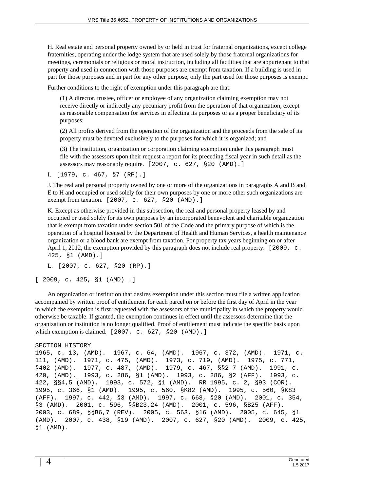H. Real estate and personal property owned by or held in trust for fraternal organizations, except college fraternities, operating under the lodge system that are used solely by those fraternal organizations for meetings, ceremonials or religious or moral instruction, including all facilities that are appurtenant to that property and used in connection with those purposes are exempt from taxation. If a building is used in part for those purposes and in part for any other purpose, only the part used for those purposes is exempt.

Further conditions to the right of exemption under this paragraph are that:

(1) A director, trustee, officer or employee of any organization claiming exemption may not receive directly or indirectly any pecuniary profit from the operation of that organization, except as reasonable compensation for services in effecting its purposes or as a proper beneficiary of its purposes;

(2) All profits derived from the operation of the organization and the proceeds from the sale of its property must be devoted exclusively to the purposes for which it is organized; and

(3) The institution, organization or corporation claiming exemption under this paragraph must file with the assessors upon their request a report for its preceding fiscal year in such detail as the assessors may reasonably require. [2007, c. 627, §20 (AMD).]

I. [1979, c. 467, §7 (RP).]

J. The real and personal property owned by one or more of the organizations in paragraphs A and B and E to H and occupied or used solely for their own purposes by one or more other such organizations are exempt from taxation. [2007, c. 627, §20 (AMD).]

K. Except as otherwise provided in this subsection, the real and personal property leased by and occupied or used solely for its own purposes by an incorporated benevolent and charitable organization that is exempt from taxation under section 501 of the Code and the primary purpose of which is the operation of a hospital licensed by the Department of Health and Human Services, a health maintenance organization or a blood bank are exempt from taxation. For property tax years beginning on or after April 1, 2012, the exemption provided by this paragraph does not include real property. [2009, c. 425, §1 (AMD).]

```
L. [2007, c. 627, §20 (RP).]
```
[ 2009, c. 425, §1 (AMD) .]

An organization or institution that desires exemption under this section must file a written application accompanied by written proof of entitlement for each parcel on or before the first day of April in the year in which the exemption is first requested with the assessors of the municipality in which the property would otherwise be taxable. If granted, the exemption continues in effect until the assessors determine that the organization or institution is no longer qualified. Proof of entitlement must indicate the specific basis upon which exemption is claimed. [2007, c. 627, §20 (AMD).]

#### SECTION HISTORY

1965, c. 13, (AMD). 1967, c. 64, (AMD). 1967, c. 372, (AMD). 1971, c. 111, (AMD). 1971, c. 475, (AMD). 1973, c. 719, (AMD). 1975, c. 771, §402 (AMD). 1977, c. 487, (AMD). 1979, c. 467, §§2-7 (AMD). 1991, c. 420, (AMD). 1993, c. 286, §1 (AMD). 1993, c. 286, §2 (AFF). 1993, c. 422, §§4,5 (AMD). 1993, c. 572, §1 (AMD). RR 1995, c. 2, §93 (COR). 1995, c. 366, §1 (AMD). 1995, c. 560, §K82 (AMD). 1995, c. 560, §K83 (AFF). 1997, c. 442, §3 (AMD). 1997, c. 668, §20 (AMD). 2001, c. 354, §3 (AMD). 2001, c. 596, §§B23,24 (AMD). 2001, c. 596, §B25 (AFF). 2003, c. 689, §§B6,7 (REV). 2005, c. 563, §16 (AMD). 2005, c. 645, §1 (AMD). 2007, c. 438, §19 (AMD). 2007, c. 627, §20 (AMD). 2009, c. 425, §1 (AMD).